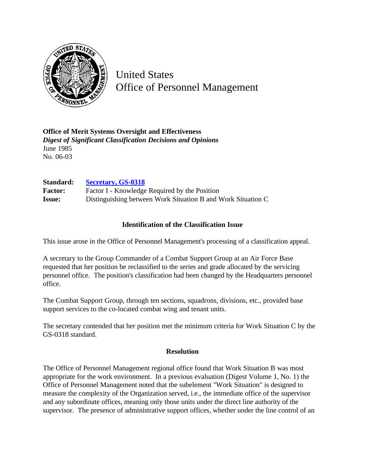

United States Office of Personnel Management

**Office of Merit Systems Oversight and Effectiveness** *Digest of Significant Classification Decisions and Opinions* June 1985 No. 06-03

**Standard: [Secretary, GS-0318](http://www.opm.gov/hr/fedclass/gs0318.pdf)**

Factor: Factor I - Knowledge Required by the Position **Issue:** Distinguishing between Work Situation B and Work Situation C

## **Identification of the Classification Issue**

This issue arose in the Office of Personnel Management's processing of a classification appeal.

A secretary to the Group Commander of a Combat Support Group at an Air Force Base requested that her position be reclassified to the series and grade allocated by the servicing personnel office. The position's classification had been changed by the Headquarters personnel office.

The Combat Support Group, through ten sections, squadrons, divisions, etc., provided base support services to the co-located combat wing and tenant units.

The secretary contended that her position met the minimum criteria for Work Situation C by the GS-0318 standard.

## **Resolution**

The Office of Personnel Management regional office found that Work Situation B was most appropriate for the work environment. In a previous evaluation (Digest Volume 1, No. 1) the Office of Personnel Management noted that the subelement "Work Situation" is designed to measure the complexity of the Organization served, i.e., the immediate office of the supervisor and any subordinate offices, meaning only those units under the direct line authority of the supervisor. The presence of administrative support offices, whether under the line control of an